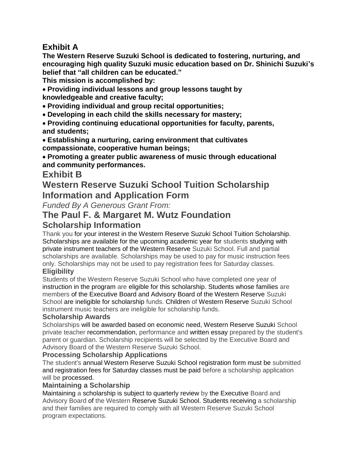## **Exhibit A**

**The Western Reserve Suzuki School is dedicated to fostering, nurturing, and encouraging high quality Suzuki music education based on Dr. Shinichi Suzuki's belief that "all children can be educated."**

**This mission is accomplished by:**

 **Providing individual lessons and group lessons taught by knowledgeable and creative faculty;**

- **Providing individual and group recital opportunities;**
- **Developing in each child the skills necessary for mastery;**

 **Providing continuing educational opportunities for faculty, parents, and students;**

- **Establishing a nurturing, caring environment that cultivates compassionate, cooperative human beings;**
- **Promoting a greater public awareness of music through educational and community performances.**

## **Exhibit B**

# **Western Reserve Suzuki School Tuition Scholarship Information and Application Form**

*Funded By A Generous Grant From:*

# **The Paul F. & Margaret M. Wutz Foundation**

## **Scholarship Information**

Thank you for your interest in the Western Reserve Suzuki School Tuition Scholarship. Scholarships are available for the upcoming academic year for students studying with private instrument teachers of the Western Reserve Suzuki School. Full and partial scholarships are available. Scholarships may be used to pay for music instruction fees only. Scholarships may not be used to pay registration fees for Saturday classes.

## **Eligibility**

Students of the Western Reserve Suzuki School who have completed one year of instruction in the program are eligible for this scholarship. Students whose families are members of the Executive Board and Advisory Board of the Western Reserve Suzuki School are ineligible for scholarship funds. Children of Western Reserve Suzuki School instrument music teachers are ineligible for scholarship funds.

### **Scholarship Awards**

Scholarships will be awarded based on economic need, Western Reserve Suzuki School private teacher recommendation, performance and written essay prepared by the student's parent or guardian. Scholarship recipients will be selected by the Executive Board and Advisory Board of the Western Reserve Suzuki School.

### **Processing Scholarship Applications**

The student's annual Western Reserve Suzuki School registration form must be submitted and registration fees for Saturday classes must be paid before a scholarship application will be processed.

### **Maintaining a Scholarship**

Maintaining a scholarship is subject to quarterly review by the Executive Board and Advisory Board of the Western Reserve Suzuki School. Students receiving a scholarship and their families are required to comply with all Western Reserve Suzuki School program expectations.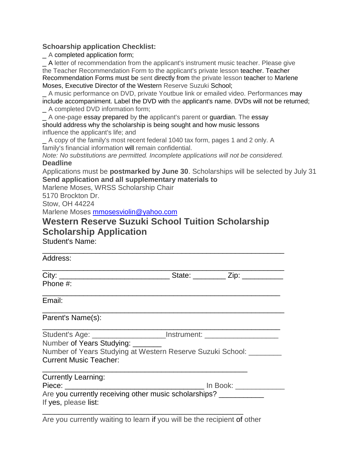### **Schoarship application Checklist:**

\_ A completed application form;

\_ A letter of recommendation from the applicant's instrument music teacher. Please give the Teacher Recommendation Form to the applicant's private lesson teacher. Teacher Recommendation Forms must be sent directly from the private lesson teacher to Marlene Moses, Executive Director of the Western Reserve Suzuki School;

\_ A music performance on DVD, private Youtbue link or emailed video. Performances may include accompaniment. Label the DVD with the applicant's name. DVDs will not be returned;

\_ A completed DVD information form;

A one-page essay prepared by the applicant's parent or quardian. The essay should address why the scholarship is being sought and how music lessons influence the applicant's life; and

A copy of the family's most recent federal 1040 tax form, pages 1 and 2 only. A family's financial information will remain confidential.

*Note: No substitutions are permitted. Incomplete applications will not be considered.* **Deadline**

Applications must be **postmarked by June 30**. Scholarships will be selected by July 31 **Send application and all supplementary materials to**

Marlene Moses, WRSS Scholarship Chair

5170 Brockton Dr.

Stow, OH 44224

Marlene Moses [mmosesviolin@yahoo.com](mailto:mmosesviolin@yahoo.com)

# **Western Reserve Suzuki School Tuition Scholarship Scholarship Application**

\_\_\_\_\_\_\_\_\_\_\_\_\_\_\_\_\_\_\_\_\_\_\_\_\_\_\_\_\_\_\_\_\_\_\_\_\_\_\_\_\_\_\_\_\_\_\_\_\_\_\_\_\_\_\_\_\_\_\_

Student's Name:

| Student's Age: _______________________Instrument: ______________________________ |
|----------------------------------------------------------------------------------|
|                                                                                  |
| Number of Years Studying at Western Reserve Suzuki School: ________              |
|                                                                                  |
|                                                                                  |
|                                                                                  |
| Are you currently receiving other music scholarships? ___________                |
|                                                                                  |
| Number of Years Studying: _______                                                |

Are you currently waiting to learn if you will be the recipient of other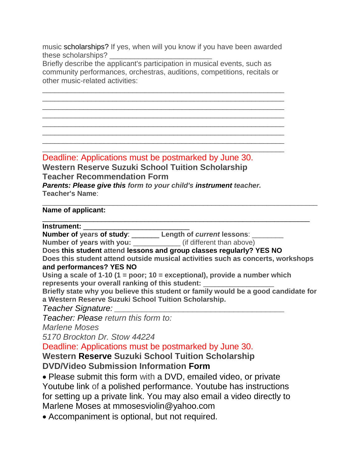music scholarships? If yes, when will you know if you have been awarded these scholarships?

Briefly describe the applicant's participation in musical events, such as community performances, orchestras, auditions, competitions, recitals or other music-related activities:

\_\_\_\_\_\_\_\_\_\_\_\_\_\_\_\_\_\_\_\_\_\_\_\_\_\_\_\_\_\_\_\_\_\_\_\_\_\_\_\_\_\_\_\_\_\_\_\_\_\_\_\_\_\_\_\_\_\_\_ \_\_\_\_\_\_\_\_\_\_\_\_\_\_\_\_\_\_\_\_\_\_\_\_\_\_\_\_\_\_\_\_\_\_\_\_\_\_\_\_\_\_\_\_\_\_\_\_\_\_\_\_\_\_\_\_\_\_\_ \_\_\_\_\_\_\_\_\_\_\_\_\_\_\_\_\_\_\_\_\_\_\_\_\_\_\_\_\_\_\_\_\_\_\_\_\_\_\_\_\_\_\_\_\_\_\_\_\_\_\_\_\_\_\_\_\_\_\_ \_\_\_\_\_\_\_\_\_\_\_\_\_\_\_\_\_\_\_\_\_\_\_\_\_\_\_\_\_\_\_\_\_\_\_\_\_\_\_\_\_\_\_\_\_\_\_\_\_\_\_\_\_\_\_\_\_\_\_ \_\_\_\_\_\_\_\_\_\_\_\_\_\_\_\_\_\_\_\_\_\_\_\_\_\_\_\_\_\_\_\_\_\_\_\_\_\_\_\_\_\_\_\_\_\_\_\_\_\_\_\_\_\_\_\_\_\_\_ \_\_\_\_\_\_\_\_\_\_\_\_\_\_\_\_\_\_\_\_\_\_\_\_\_\_\_\_\_\_\_\_\_\_\_\_\_\_\_\_\_\_\_\_\_\_\_\_\_\_\_\_\_\_\_\_\_\_\_ \_\_\_\_\_\_\_\_\_\_\_\_\_\_\_\_\_\_\_\_\_\_\_\_\_\_\_\_\_\_\_\_\_\_\_\_\_\_\_\_\_\_\_\_\_\_\_\_\_\_\_\_\_\_\_\_\_\_\_

\_\_\_\_\_\_\_\_\_\_\_\_\_\_\_\_\_\_\_\_\_\_\_\_\_\_\_\_\_\_\_\_\_\_\_\_\_\_\_\_\_\_\_\_\_\_\_\_\_\_\_\_\_\_\_\_\_\_\_ Deadline: Applications must be postmarked by June 30.

**Western Reserve Suzuki School Tuition Scholarship Teacher Recommendation Form** *Parents: Please give this form to your child's instrument teacher.* **Teacher's Name**:

### \_\_\_\_\_\_\_\_\_\_\_\_\_\_\_\_\_\_\_\_\_\_\_\_\_\_\_\_\_\_\_\_\_\_\_\_\_\_\_\_\_\_\_\_\_\_\_\_\_\_\_\_\_\_\_\_\_\_\_\_\_\_\_\_\_\_\_\_\_\_ **Name of applicant:**

**Instrument:** 

**Number of years of study**: \_\_\_\_\_\_\_ **Length of** *current* **lessons**: \_\_\_\_\_\_\_\_

**Number of years with you:** \_\_\_\_\_\_\_\_\_\_\_\_\_ (if different than above)

**Does this student attend lessons and group classes regularly? YES NO**

**Does this student attend outside musical activities such as concerts, workshops and performances? YES NO**

\_\_\_\_\_\_\_\_\_\_\_\_\_\_\_\_\_\_\_\_\_\_\_\_\_\_\_\_\_\_\_\_\_\_\_\_\_\_\_\_\_\_\_\_\_\_\_\_\_\_\_\_\_\_\_\_\_\_\_\_\_\_\_\_\_\_\_\_

**Using a scale of 1-10 (1 = poor; 10 = exceptional), provide a number which** represents your overall ranking of this student:

**Briefly state why you believe this student or family would be a good candidate for a Western Reserve Suzuki School Tuition Scholarship.**

*Teacher Signature: \_\_\_\_\_\_\_\_\_\_\_\_\_\_\_\_\_\_\_\_\_\_\_\_\_\_\_\_\_\_\_\_\_\_\_\_\_*

*Teacher: Please return this form to:*

*Marlene Moses*

*5170 Brockton Dr. Stow 44224*

Deadline: Applications must be postmarked by June 30.

**Western Reserve Suzuki School Tuition Scholarship DVD/Video Submission Information Form**

 Please submit this form with a DVD, emailed video, or private Youtube link of a polished performance. Youtube has instructions for setting up a private link. You may also email a video directly to Marlene Moses at mmosesviolin@yahoo.com

Accompaniment is optional, but not required.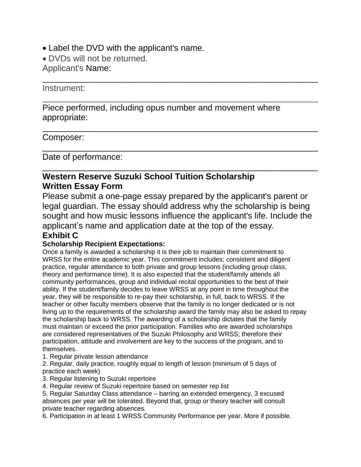- Label the DVD with the applicant's name.
- DVDs will not be returned.

Applicant's Name:

### Instrument:

Piece performed, including opus number and movement where appropriate:

\_\_\_\_\_\_\_\_\_\_\_\_\_\_\_\_\_\_\_\_\_\_\_\_\_\_\_\_\_\_\_\_\_\_\_\_\_\_\_\_\_\_\_\_\_\_\_\_\_\_\_\_\_\_\_\_\_\_

\_\_\_\_\_\_\_\_\_\_\_\_\_\_\_\_\_\_\_\_\_\_\_\_\_\_\_\_\_\_\_\_\_\_\_\_\_\_\_\_\_\_\_\_\_\_\_\_\_\_\_\_\_\_\_\_\_\_

\_\_\_\_\_\_\_\_\_\_\_\_\_\_\_\_\_\_\_\_\_\_\_\_\_\_\_\_\_\_\_\_\_\_\_\_\_\_\_\_\_\_\_\_\_\_\_\_\_\_\_\_\_\_\_\_\_\_

\_\_\_\_\_\_\_\_\_\_\_\_\_\_\_\_\_\_\_\_\_\_\_\_\_\_\_\_\_\_\_\_\_\_\_\_\_\_\_\_\_\_\_\_\_\_\_\_\_\_\_\_\_\_\_\_\_\_

\_\_\_\_\_\_\_\_\_\_\_\_\_\_\_\_\_\_\_\_\_\_\_\_\_\_\_\_\_\_\_\_\_\_\_\_\_\_\_\_\_\_\_\_\_\_\_\_\_\_\_\_\_\_\_\_\_\_

## Composer:

Date of performance:

## **Western Reserve Suzuki School Tuition Scholarship Written Essay Form**

Please submit a one-page essay prepared by the applicant's parent or legal guardian. The essay should address why the scholarship is being sought and how music lessons influence the applicant's life. Include the applicant's name and application date at the top of the essay.

# **Exhibit C**

### **Scholarship Recipient Expectations:**

Once a family is awarded a scholarship it is their job to maintain their commitment to WRSS for the entire academic year. This commitment includes; consistent and diligent practice, regular attendance to both private and group lessons (including group class, theory and performance time). It is also expected that the student/family attends all community performances, group and individual recital opportunities to the best of their ability. If the student/family decides to leave WRSS at any point in time throughout the year, they will be responsible to re-pay their scholarship, in full, back to WRSS. If the teacher or other faculty members observe that the family is no longer dedicated or is not living up to the requirements of the scholarship award the family may also be asked to repay the scholarship back to WRSS. The awarding of a scholarship dictates that the family must maintain or exceed the prior participation. Families who are awarded scholarships are considered representatives of the Suzuki Philosophy and WRSS; therefore their participation, attitude and involvement are key to the success of the program, and to themselves.

1. Regular private lesson attendance

2. Regular, daily practice, roughly equal to length of lesson (minimum of 5 days of practice each week)

3. Regular listening to Suzuki repertoire

4. Regular review of Suzuki repertoire based on semester rep list

5. Regular Saturday Class attendance – barring an extended emergency, 3 excused absences per year will be tolerated. Beyond that, group or theory teacher will consult private teacher regarding absences.

6. Participation in at least 1 WRSS Community Performance per year. More if possible.